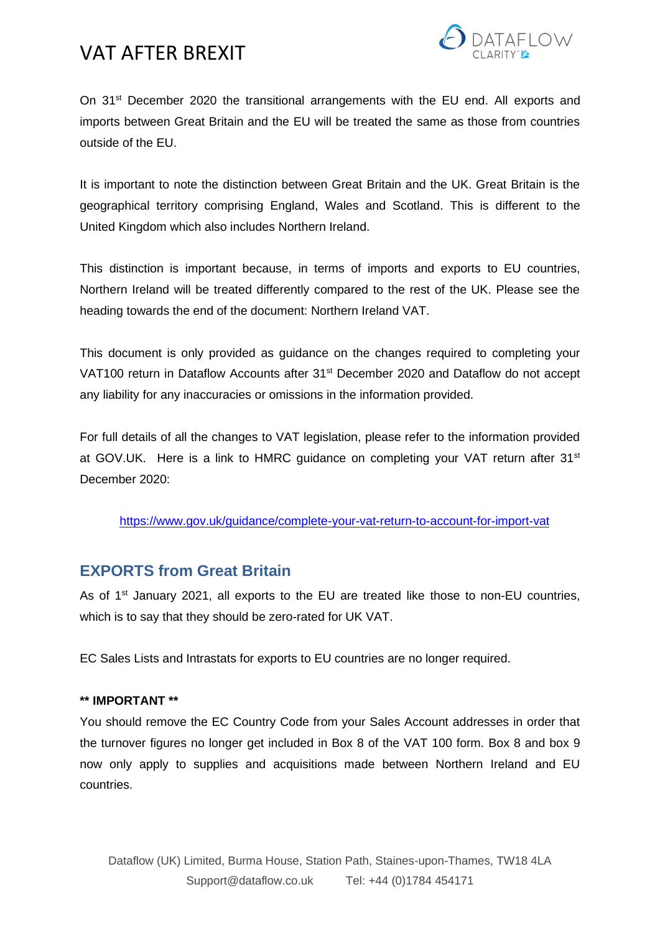

On 31<sup>st</sup> December 2020 the transitional arrangements with the EU end. All exports and imports between Great Britain and the EU will be treated the same as those from countries outside of the EU.

It is important to note the distinction between Great Britain and the UK. Great Britain is the geographical territory comprising England, Wales and Scotland. This is different to the United Kingdom which also includes Northern Ireland.

This distinction is important because, in terms of imports and exports to EU countries, Northern Ireland will be treated differently compared to the rest of the UK. Please see the heading towards the end of the document: Northern Ireland VAT.

This document is only provided as guidance on the changes required to completing your VAT100 return in Dataflow Accounts after 31<sup>st</sup> December 2020 and Dataflow do not accept any liability for any inaccuracies or omissions in the information provided.

For full details of all the changes to VAT legislation, please refer to the information provided at GOV.UK. Here is a link to HMRC quidance on completing your VAT return after 31<sup>st</sup> December 2020:

<https://www.gov.uk/guidance/complete-your-vat-return-to-account-for-import-vat>

## **EXPORTS from Great Britain**

As of 1<sup>st</sup> January 2021, all exports to the EU are treated like those to non-EU countries, which is to say that they should be zero-rated for UK VAT.

EC Sales Lists and Intrastats for exports to EU countries are no longer required.

## **\*\* IMPORTANT \*\***

You should remove the EC Country Code from your Sales Account addresses in order that the turnover figures no longer get included in Box 8 of the VAT 100 form. Box 8 and box 9 now only apply to supplies and acquisitions made between Northern Ireland and EU countries.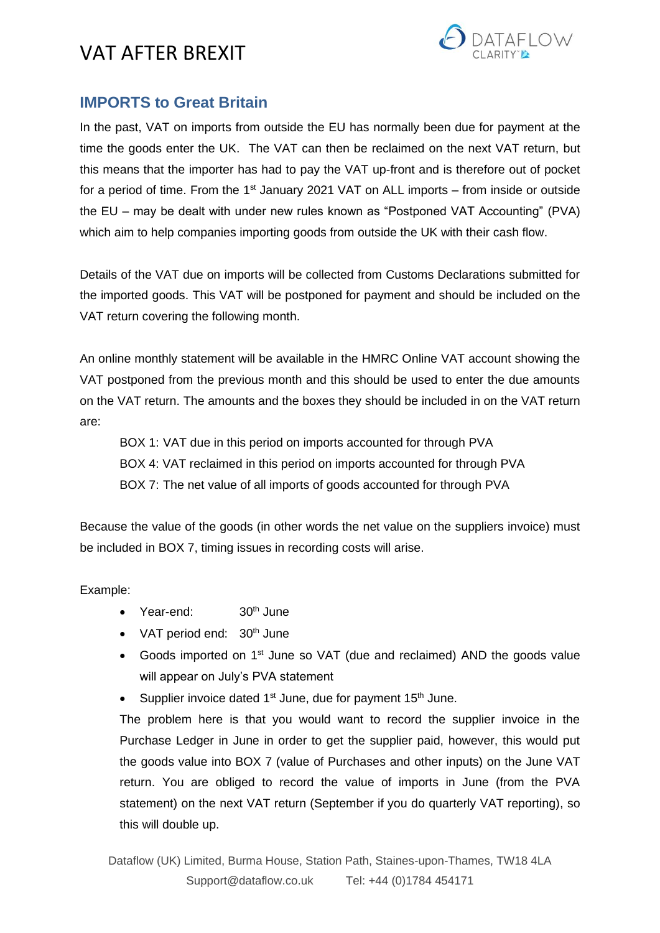

## **IMPORTS to Great Britain**

In the past, VAT on imports from outside the EU has normally been due for payment at the time the goods enter the UK. The VAT can then be reclaimed on the next VAT return, but this means that the importer has had to pay the VAT up-front and is therefore out of pocket for a period of time. From the  $1<sup>st</sup>$  January 2021 VAT on ALL imports – from inside or outside the EU – may be dealt with under new rules known as "Postponed VAT Accounting" (PVA) which aim to help companies importing goods from outside the UK with their cash flow.

Details of the VAT due on imports will be collected from Customs Declarations submitted for the imported goods. This VAT will be postponed for payment and should be included on the VAT return covering the following month.

An online monthly statement will be available in the HMRC Online VAT account showing the VAT postponed from the previous month and this should be used to enter the due amounts on the VAT return. The amounts and the boxes they should be included in on the VAT return are:

BOX 1: VAT due in this period on imports accounted for through PVA BOX 4: VAT reclaimed in this period on imports accounted for through PVA BOX 7: The net value of all imports of goods accounted for through PVA

Because the value of the goods (in other words the net value on the suppliers invoice) must be included in BOX 7, timing issues in recording costs will arise.

Example:

- Year-end:  $30<sup>th</sup>$  June
- VAT period end:  $30<sup>th</sup>$  June
- Goods imported on 1<sup>st</sup> June so VAT (due and reclaimed) AND the goods value will appear on July's PVA statement
- Supplier invoice dated 1<sup>st</sup> June, due for payment 15<sup>th</sup> June.

The problem here is that you would want to record the supplier invoice in the Purchase Ledger in June in order to get the supplier paid, however, this would put the goods value into BOX 7 (value of Purchases and other inputs) on the June VAT return. You are obliged to record the value of imports in June (from the PVA statement) on the next VAT return (September if you do quarterly VAT reporting), so this will double up.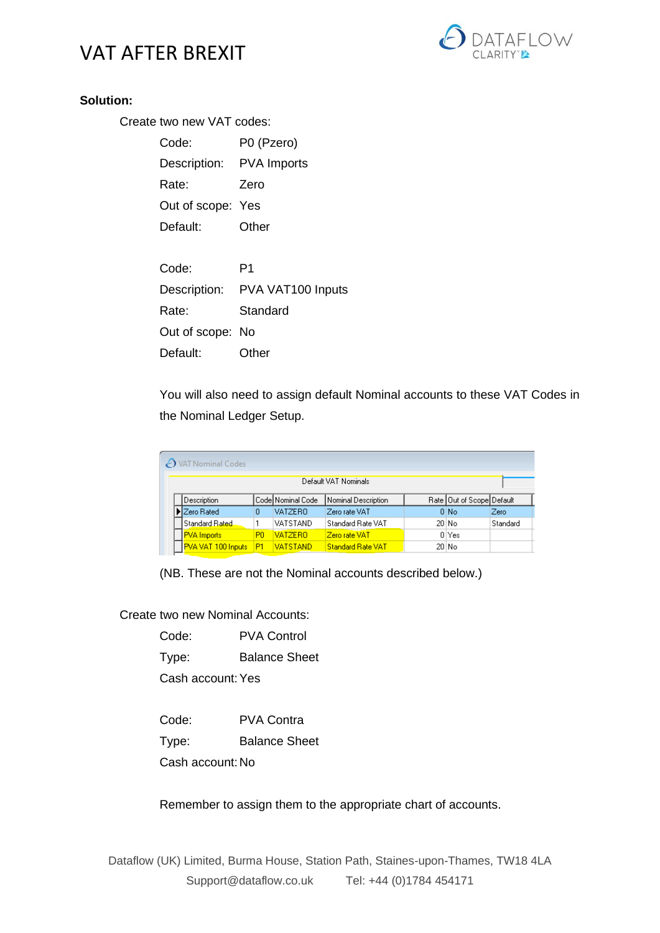

### **Solution:**

Create two new VAT codes:

| Code:                    | P0 (Pzero)        |
|--------------------------|-------------------|
| Description: PVA Imports |                   |
| Rate:                    | Zero              |
| Out of scope: Yes        |                   |
| Default:                 | Other             |
|                          |                   |
| Code:                    | P1                |
| Description:             | PVA VAT100 Inputs |
| Rate:                    | Standard          |
| Out of scope: No         |                   |

Default: Other

You will also need to assign default Nominal accounts to these VAT Codes in the Nominal Ledger Setup.

|                      | A VAT Nominal Codes       |                |                    |                          |  |                              |          |
|----------------------|---------------------------|----------------|--------------------|--------------------------|--|------------------------------|----------|
| Default VAT Nominals |                           |                |                    |                          |  |                              |          |
|                      | Description               |                | Code  Nominal Code | Nominal Description      |  | Rate   Out of Scope  Default |          |
|                      | Zero Rated                | 0              | <b>VATZERO</b>     | Zero rate VAT            |  | 0 No                         | Zero     |
|                      | l Standard Rated.         |                | VATSTAND           | Standard Rate VAT        |  | 20 No                        | Standard |
|                      | <b>PVA</b> Imports        | P <sub>0</sub> | <b>VATZERO</b>     | Zero rate VAT            |  | 0 Yes                        |          |
|                      | <b>PVA VAT 100 Inputs</b> | P1             | <b>VATSTAND</b>    | <b>Standard Rate VAT</b> |  | 20 No                        |          |

(NB. These are not the Nominal accounts described below.)

Create two new Nominal Accounts:

Code: PVA Control

Type: Balance Sheet

Cash account:Yes

Code: PVA Contra

Type: Balance Sheet

Cash account: No

Remember to assign them to the appropriate chart of accounts.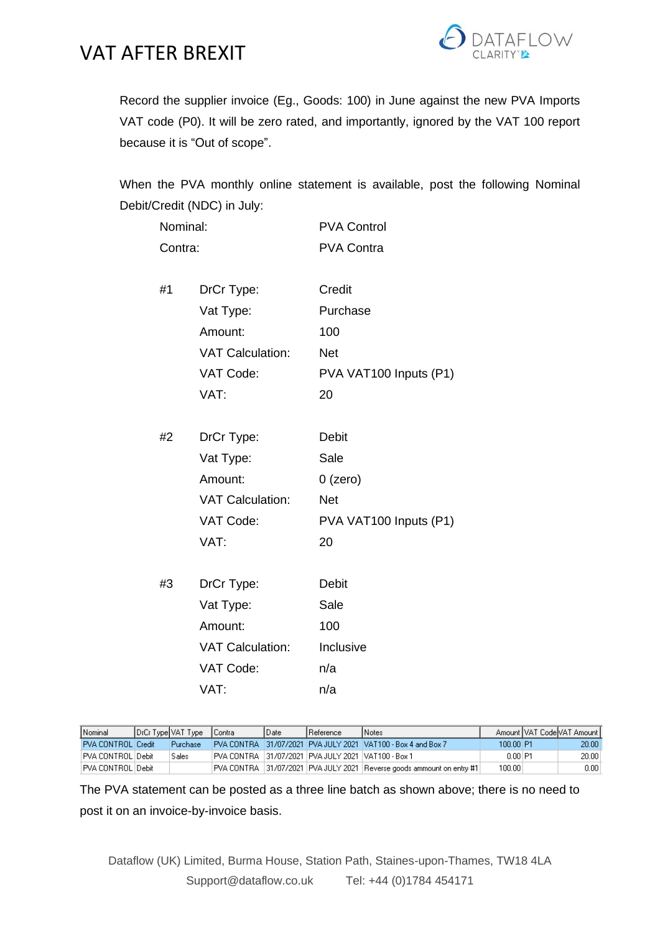

Record the supplier invoice (Eg., Goods: 100) in June against the new PVA Imports VAT code (P0). It will be zero rated, and importantly, ignored by the VAT 100 report because it is "Out of scope".

When the PVA monthly online statement is available, post the following Nominal Debit/Credit (NDC) in July:

| Nominal: |                         | <b>PVA Control</b>     |  |  |  |
|----------|-------------------------|------------------------|--|--|--|
| Contra:  |                         | <b>PVA Contra</b>      |  |  |  |
| #1       | DrCr Type:              | Credit                 |  |  |  |
|          | Vat Type:               | Purchase               |  |  |  |
|          | Amount:                 | 100                    |  |  |  |
|          | <b>VAT Calculation:</b> | <b>Net</b>             |  |  |  |
|          | VAT Code:               | PVA VAT100 Inputs (P1) |  |  |  |
|          | VAT:                    | 20                     |  |  |  |
|          |                         |                        |  |  |  |
| #2       | DrCr Type:              | <b>Debit</b>           |  |  |  |
|          | Vat Type:               | Sale                   |  |  |  |
|          | Amount:                 | $0$ (zero)             |  |  |  |
|          | <b>VAT Calculation:</b> | <b>Net</b>             |  |  |  |
|          | VAT Code:               | PVA VAT100 Inputs (P1) |  |  |  |
|          | VAT:                    | 20                     |  |  |  |
|          |                         |                        |  |  |  |
| #3       | DrCr Type:              | <b>Debit</b>           |  |  |  |
|          | Vat Type:               | Sale                   |  |  |  |
|          | Amount:                 | 100                    |  |  |  |
|          | <b>VAT Calculation:</b> | Inclusive              |  |  |  |
|          | VAT Code:               | n/a                    |  |  |  |
|          | VAT:                    | n/a                    |  |  |  |

| Nominal              | DrCr Type VAT Type | <b>Contra</b> | l Date | <b>I</b> Reference                                     | l Notes                                                                   |           | Amount VAT Code VAT Amount L |
|----------------------|--------------------|---------------|--------|--------------------------------------------------------|---------------------------------------------------------------------------|-----------|------------------------------|
| PVA CONTROL Credit   | <b>Purchase</b>    |               |        |                                                        | IPVA CONTRA 131/07/2021 PVA JULY 2021 VAT100 - Box 4 and Box 7            | 100.00 P1 | 20.00                        |
| IPVA CONTROL I Debit | Sales              |               |        | IPVA CONTRA 131/07/2021 IPVA JULY 2021 IVAT100 - Box 1 |                                                                           | $0.00$ P1 | 20.00                        |
| IPVA CONTROL IDebit  |                    |               |        |                                                        | PVA CONTRA   31/07/2021  PVA JULY 2021  Reverse goods ammount on entry #1 | 100.00    | 0.001                        |

The PVA statement can be posted as a three line batch as shown above; there is no need to post it on an invoice-by-invoice basis.

Dataflow (UK) Limited, Burma House, Station Path, Staines-upon-Thames, TW18 4LA Support@dataflow.co.uk Tel: +44 (0)1784 454171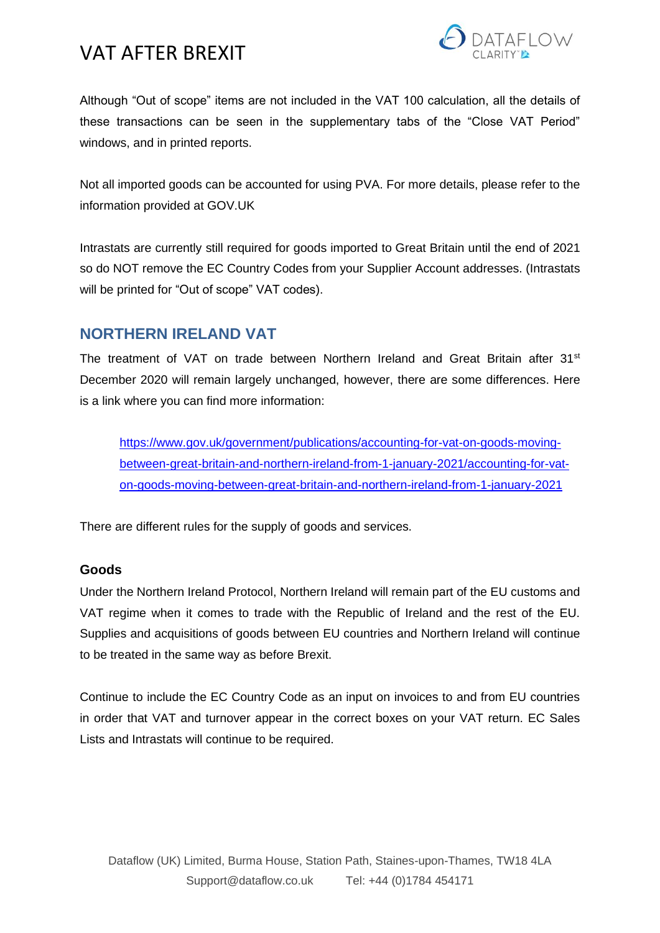

Although "Out of scope" items are not included in the VAT 100 calculation, all the details of these transactions can be seen in the supplementary tabs of the "Close VAT Period" windows, and in printed reports.

Not all imported goods can be accounted for using PVA. For more details, please refer to the information provided at GOV.UK

Intrastats are currently still required for goods imported to Great Britain until the end of 2021 so do NOT remove the EC Country Codes from your Supplier Account addresses. (Intrastats will be printed for "Out of scope" VAT codes).

## **NORTHERN IRELAND VAT**

The treatment of VAT on trade between Northern Ireland and Great Britain after 31<sup>st</sup> December 2020 will remain largely unchanged, however, there are some differences. Here is a link where you can find more information:

[https://www.gov.uk/government/publications/accounting-for-vat-on-goods-moving](https://www.gov.uk/government/publications/accounting-for-vat-on-goods-moving-between-great-britain-and-northern-ireland-from-1-january-2021/accounting-for-vat-on-goods-moving-between-great-britain-and-northern-ireland-from-1-january-2021)[between-great-britain-and-northern-ireland-from-1-january-2021/accounting-for-vat](https://www.gov.uk/government/publications/accounting-for-vat-on-goods-moving-between-great-britain-and-northern-ireland-from-1-january-2021/accounting-for-vat-on-goods-moving-between-great-britain-and-northern-ireland-from-1-january-2021)[on-goods-moving-between-great-britain-and-northern-ireland-from-1-january-2021](https://www.gov.uk/government/publications/accounting-for-vat-on-goods-moving-between-great-britain-and-northern-ireland-from-1-january-2021/accounting-for-vat-on-goods-moving-between-great-britain-and-northern-ireland-from-1-january-2021)

There are different rules for the supply of goods and services.

## **Goods**

Under the Northern Ireland Protocol, Northern Ireland will remain part of the EU customs and VAT regime when it comes to trade with the Republic of Ireland and the rest of the EU. Supplies and acquisitions of goods between EU countries and Northern Ireland will continue to be treated in the same way as before Brexit.

Continue to include the EC Country Code as an input on invoices to and from EU countries in order that VAT and turnover appear in the correct boxes on your VAT return. EC Sales Lists and Intrastats will continue to be required.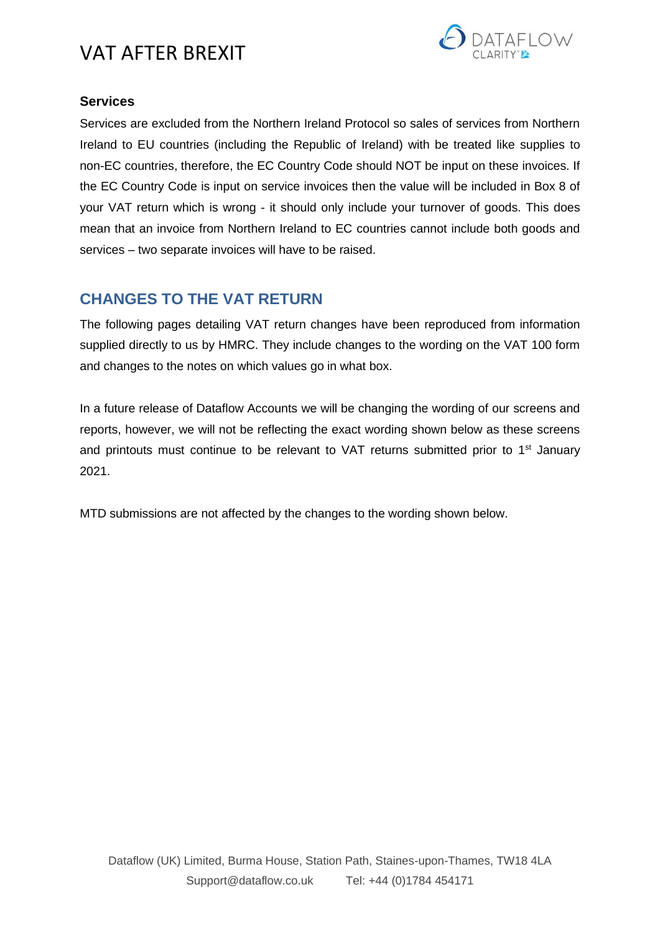

## **Services**

Services are excluded from the Northern Ireland Protocol so sales of services from Northern Ireland to EU countries (including the Republic of Ireland) with be treated like supplies to non-EC countries, therefore, the EC Country Code should NOT be input on these invoices. If the EC Country Code is input on service invoices then the value will be included in Box 8 of your VAT return which is wrong - it should only include your turnover of goods. This does mean that an invoice from Northern Ireland to EC countries cannot include both goods and services – two separate invoices will have to be raised.

## **CHANGES TO THE VAT RETURN**

The following pages detailing VAT return changes have been reproduced from information supplied directly to us by HMRC. They include changes to the wording on the VAT 100 form and changes to the notes on which values go in what box.

In a future release of Dataflow Accounts we will be changing the wording of our screens and reports, however, we will not be reflecting the exact wording shown below as these screens and printouts must continue to be relevant to VAT returns submitted prior to 1<sup>st</sup> January 2021.

MTD submissions are not affected by the changes to the wording shown below.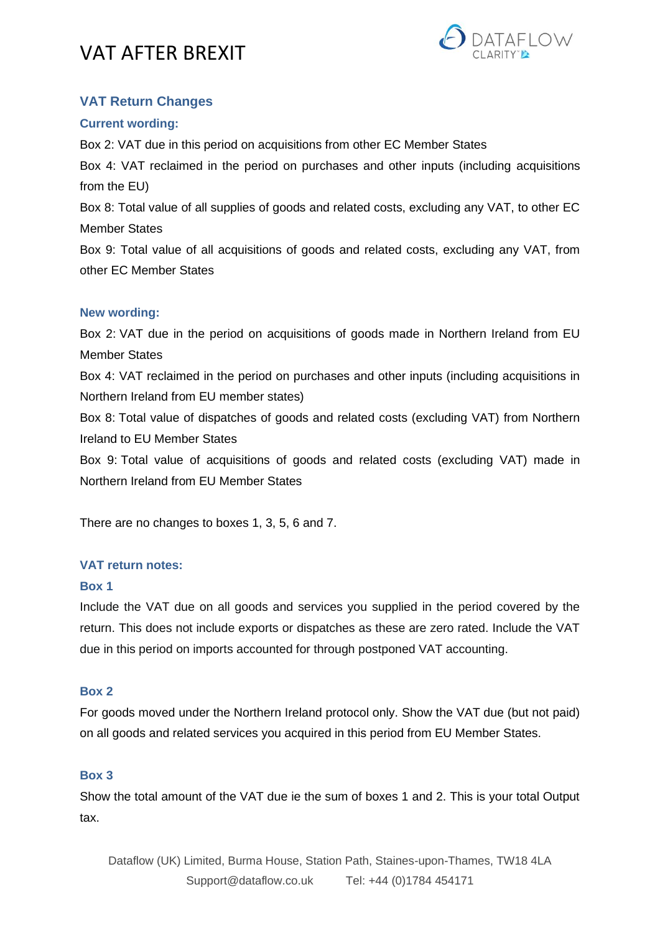

## **VAT Return Changes**

## **Current wording:**

Box 2: VAT due in this period on acquisitions from other EC Member States

Box 4: VAT reclaimed in the period on purchases and other inputs (including acquisitions from the EU)

Box 8: Total value of all supplies of goods and related costs, excluding any VAT, to other EC Member States

Box 9: Total value of all acquisitions of goods and related costs, excluding any VAT, from other EC Member States

### **New wording:**

Box 2: VAT due in the period on acquisitions of goods made in Northern Ireland from EU Member States

Box 4: VAT reclaimed in the period on purchases and other inputs (including acquisitions in Northern Ireland from EU member states)

Box 8: Total value of dispatches of goods and related costs (excluding VAT) from Northern Ireland to EU Member States

Box 9: Total value of acquisitions of goods and related costs (excluding VAT) made in Northern Ireland from EU Member States

There are no changes to boxes 1, 3, 5, 6 and 7.

## **VAT return notes:**

### **Box 1**

Include the VAT due on all goods and services you supplied in the period covered by the return. This does not include exports or dispatches as these are zero rated. Include the VAT due in this period on imports accounted for through postponed VAT accounting.

### **Box 2**

For goods moved under the Northern Ireland protocol only. Show the VAT due (but not paid) on all goods and related services you acquired in this period from EU Member States.

### **Box 3**

Show the total amount of the VAT due ie the sum of boxes 1 and 2. This is your total Output tax.